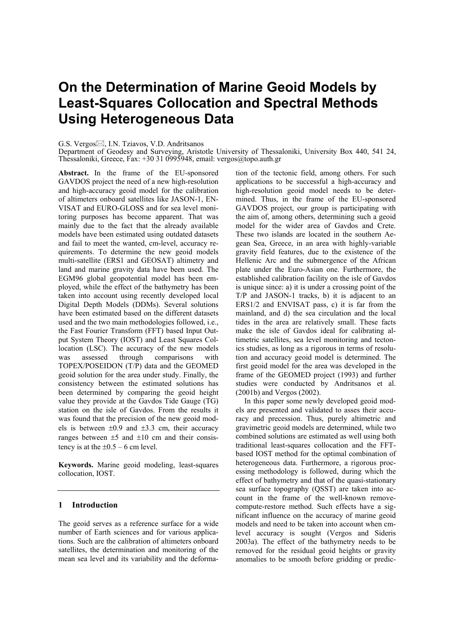# **On the Determination of Marine Geoid Models by Least-Squares Collocation and Spectral Methods Using Heterogeneous Data**

#### G.S. Vergos⊠, I.N. Tziavos, V.D. Andritsanos

Department of Geodesy and Surveying, Aristotle University of Thessaloniki, University Box 440, 541 24, Thessaloniki, Greece, Fax: +30 31 0995948, email: vergos@topo.auth.gr

**Abstract.** In the frame of the EU-sponsored GAVDOS project the need of a new high-resolution and high-accuracy geoid model for the calibration of altimeters onboard satellites like JASON-1, EN-VISAT and EURO-GLOSS and for sea level monitoring purposes has become apparent. That was mainly due to the fact that the already available models have been estimated using outdated datasets and fail to meet the wanted, cm-level, accuracy requirements. To determine the new geoid models multi-satellite (ERS1 and GEOSAT) altimetry and land and marine gravity data have been used. The EGM96 global geopotential model has been employed, while the effect of the bathymetry has been taken into account using recently developed local Digital Depth Models (DDMs). Several solutions have been estimated based on the different datasets used and the two main methodologies followed, i.e., the Fast Fourier Transform (FFT) based Input Output System Theory (IOST) and Least Squares Collocation (LSC). The accuracy of the new models was assessed through comparisons with TOPEX/POSEIDON (T/P) data and the GEOMED geoid solution for the area under study. Finally, the consistency between the estimated solutions has been determined by comparing the geoid height value they provide at the Gavdos Tide Gauge (TG) station on the isle of Gavdos. From the results it was found that the precision of the new geoid models is between  $\pm 0.9$  and  $\pm 3.3$  cm, their accuracy ranges between  $\pm 5$  and  $\pm 10$  cm and their consistency is at the  $\pm 0.5 - 6$  cm level.

**Keywords.** Marine geoid modeling, least-squares collocation, IOST.

# **1 Introduction**

The geoid serves as a reference surface for a wide number of Earth sciences and for various applications. Such are the calibration of altimeters onboard satellites, the determination and monitoring of the mean sea level and its variability and the deformation of the tectonic field, among others. For such applications to be successful a high-accuracy and high-resolution geoid model needs to be determined. Thus, in the frame of the EU-sponsored GAVDOS project, our group is participating with the aim of, among others, determining such a geoid model for the wider area of Gavdos and Crete. These two islands are located in the southern Aegean Sea, Greece, in an area with highly-variable gravity field features, due to the existence of the Hellenic Arc and the submergence of the African plate under the Euro-Asian one. Furthermore, the established calibration facility on the isle of Gavdos is unique since: a) it is under a crossing point of the T/P and JASON-1 tracks, b) it is adjacent to an ERS1/2 and ENVISAT pass, c) it is far from the mainland, and d) the sea circulation and the local tides in the area are relatively small. These facts make the isle of Gavdos ideal for calibrating altimetric satellites, sea level monitoring and tectonics studies, as long as a rigorous in terms of resolution and accuracy geoid model is determined. The first geoid model for the area was developed in the frame of the GEOMED project (1993) and further studies were conducted by Andritsanos et al. (2001b) and Vergos (2002).

In this paper some newly developed geoid models are presented and validated to asses their accuracy and precession. Thus, purely altimetric and gravimetric geoid models are determined, while two combined solutions are estimated as well using both traditional least-squares collocation and the FFTbased IOST method for the optimal combination of heterogeneous data. Furthermore, a rigorous processing methodology is followed, during which the effect of bathymetry and that of the quasi-stationary sea surface topography (QSST) are taken into account in the frame of the well-known removecompute-restore method. Such effects have a significant influence on the accuracy of marine geoid models and need to be taken into account when cmlevel accuracy is sought (Vergos and Sideris 2003a). The effect of the bathymetry needs to be removed for the residual geoid heights or gravity anomalies to be smooth before gridding or predic-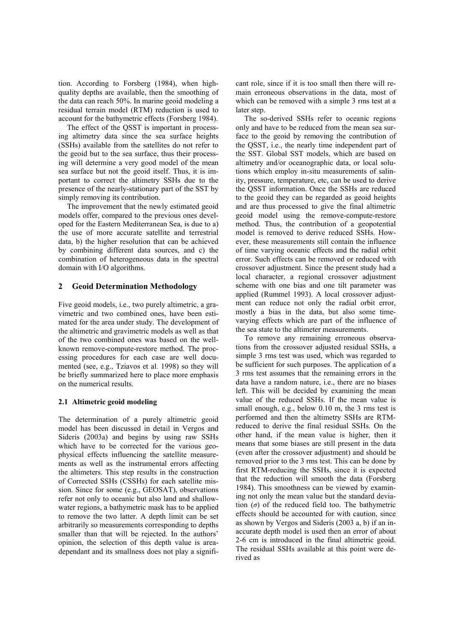tion. According to Forsberg (1984), when highquality depths are available, then the smoothing of the data can reach 50%. In marine geoid modeling a residual terrain model (RTM) reduction is used to account for the bathymetric effects (Forsberg 1984).

The effect of the QSST is important in processing altimetry data since the sea surface heights (SSHs) available from the satellites do not refer to the geoid but to the sea surface, thus their processing will determine a very good model of the mean sea surface but not the geoid itself. Thus, it is important to correct the altimetry SSHs due to the presence of the nearly-stationary part of the SST by simply removing its contribution.

The improvement that the newly estimated geoid models offer, compared to the previous ones developed for the Eastern Mediterranean Sea, is due to a) the use of more accurate satellite and terrestrial data, b) the higher resolution that can be achieved by combining different data sources, and c) the combination of heterogeneous data in the spectral domain with I/O algorithms.

## **2 Geoid Determination Methodology**

Five geoid models, i.e., two purely altimetric, a gravimetric and two combined ones, have been estimated for the area under study. The development of the altimetric and gravimetric models as well as that of the two combined ones was based on the wellknown remove-compute-restore method. The processing procedures for each case are well documented (see, e.g., Tziavos et al. 1998) so they will be briefly summarized here to place more emphasis on the numerical results.

## **2.1 Altimetric geoid modeling**

The determination of a purely altimetric geoid model has been discussed in detail in Vergos and Sideris (2003a) and begins by using raw SSHs which have to be corrected for the various geophysical effects influencing the satellite measurements as well as the instrumental errors affecting the altimeters. This step results in the construction of Corrected SSHs (CSSHs) for each satellite mission. Since for some (e.g., GEOSAT), observations refer not only to oceanic but also land and shallowwater regions, a bathymetric mask has to be applied to remove the two latter. A depth limit can be set arbitrarily so measurements corresponding to depths smaller than that will be rejected. In the authors' opinion, the selection of this depth value is areadependant and its smallness does not play a significant role, since if it is too small then there will remain erroneous observations in the data, most of which can be removed with a simple 3 rms test at a later step.

The so-derived SSHs refer to oceanic regions only and have to be reduced from the mean sea surface to the geoid by removing the contribution of the QSST, i.e., the nearly time independent part of the SST. Global SST models, which are based on altimetry and/or oceanographic data, or local solutions which employ in-situ measurements of salinity, pressure, temperature, etc, can be used to derive the QSST information. Once the SSHs are reduced to the geoid they can be regarded as geoid heights and are thus processed to give the final altimetric geoid model using the remove-compute-restore method. Thus, the contribution of a geopotential model is removed to derive reduced SSHs. However, these measurements still contain the influence of time varying oceanic effects and the radial orbit error. Such effects can be removed or reduced with crossover adjustment. Since the present study had a local character, a regional crossover adjustment scheme with one bias and one tilt parameter was applied (Rummel 1993). A local crossover adjustment can reduce not only the radial orbit error, mostly a bias in the data, but also some timevarying effects which are part of the influence of the sea state to the altimeter measurements.

To remove any remaining erroneous observations from the crossover adjusted residual SSHs, a simple 3 rms test was used, which was regarded to be sufficient for such purposes. The application of a 3 rms test assumes that the remaining errors in the data have a random nature, i.e., there are no biases left. This will be decided by examining the mean value of the reduced SSHs. If the mean value is small enough, e.g., below 0.10 m, the 3 rms test is performed and then the altimetry SSHs are RTMreduced to derive the final residual SSHs. On the other hand, if the mean value is higher, then it means that some biases are still present in the data (even after the crossover adjustment) and should be removed prior to the 3 rms test. This can be done by first RTM-reducing the SSHs, since it is expected that the reduction will smooth the data (Forsberg 1984). This smoothness can be viewed by examining not only the mean value but the standard deviation  $(\sigma)$  of the reduced field too. The bathymetric effects should be accounted for with caution, since as shown by Vergos and Sideris (2003 a, b) if an inaccurate depth model is used then an error of about 2-6 cm is introduced in the final altimetric geoid. The residual SSHs available at this point were derived as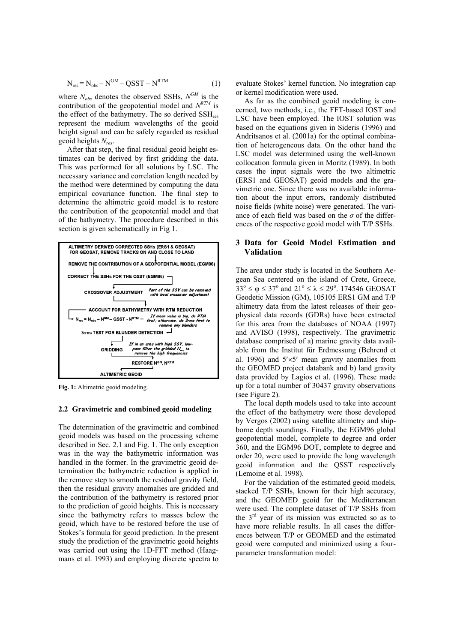$$
N_{res} = N_{obs} - N^{GM} - QSST - N^{RTM}
$$
 (1)

where  $N_{obs}$  denotes the observed SSHs,  $N^{GM}$  is the contribution of the geopotential model and  $N^{RTM}$  is the effect of the bathymetry. The so derived  $\text{SSH}_{\text{res}}$ represent the medium wavelengths of the geoid height signal and can be safely regarded as residual geoid heights *Nres*.

After that step, the final residual geoid height estimates can be derived by first gridding the data. This was performed for all solutions by LSC. The necessary variance and correlation length needed by the method were determined by computing the data empirical covariance function. The final step to determine the altimetric geoid model is to restore the contribution of the geopotential model and that of the bathymetry. The procedure described in this section is given schematically in Fig 1.



Fig. 1: Altimetric geoid modeling.

## **2.2 Gravimetric and combined geoid modeling**

The determination of the gravimetric and combined geoid models was based on the processing scheme described in Sec. 2.1 and Fig. 1. The only exception was in the way the bathymetric information was handled in the former. In the gravimetric geoid determination the bathymetric reduction is applied in the remove step to smooth the residual gravity field, then the residual gravity anomalies are gridded and the contribution of the bathymetry is restored prior to the prediction of geoid heights. This is necessary since the bathymetry refers to masses below the geoid, which have to be restored before the use of Stokes's formula for geoid prediction. In the present study the prediction of the gravimetric geoid heights was carried out using the 1D-FFT method (Haagmans et al. 1993) and employing discrete spectra to evaluate Stokes' kernel function. No integration cap or kernel modification were used.

As far as the combined geoid modeling is concerned, two methods, i.e., the FFT-based IOST and LSC have been employed. The IOST solution was based on the equations given in Sideris (1996) and Andritsanos et al. (2001a) for the optimal combination of heterogeneous data. On the other hand the LSC model was determined using the well-known collocation formula given in Moritz (1989). In both cases the input signals were the two altimetric (ERS1 and GEOSAT) geoid models and the gravimetric one. Since there was no available information about the input errors, randomly distributed noise fields (white noise) were generated. The variance of each field was based on the  $\sigma$  of the differences of the respective geoid model with T/P SSHs.

# **3 Data for Geoid Model Estimation and Validation**

The area under study is located in the Southern Aegean Sea centered on the island of Crete, Greece,  $33^{\circ} \le \varphi \le 37^{\circ}$  and  $21^{\circ} \le \lambda \le 29^{\circ}$ . 174546 GEOSAT Geodetic Mission (GM), 105105 ERS1 GM and T/P altimetry data from the latest releases of their geophysical data records (GDRs) have been extracted for this area from the databases of NOAA (1997) and AVISO (1998), respectively. The gravimetric database comprised of a) marine gravity data available from the Institut für Erdmessung (Behrend et al. 1996) and  $5' \times 5'$  mean gravity anomalies from the GEOMED project databank and b) land gravity data provided by Lagios et al. (1996). These made up for a total number of 30437 gravity observations (see Figure 2).

The local depth models used to take into account the effect of the bathymetry were those developed by Vergos (2002) using satellite altimetry and shipborne depth soundings. Finally, the EGM96 global geopotential model, complete to degree and order 360, and the EGM96 DOT, complete to degree and order 20, were used to provide the long wavelength geoid information and the QSST respectively (Lemoine et al. 1998).

For the validation of the estimated geoid models, stacked T/P SSHs, known for their high accuracy, and the GEOMED geoid for the Mediterranean were used. The complete dataset of T/P SSHs from the  $3<sup>rd</sup>$  year of its mission was extracted so as to have more reliable results. In all cases the differences between T/P or GEOMED and the estimated geoid were computed and minimized using a fourparameter transformation model: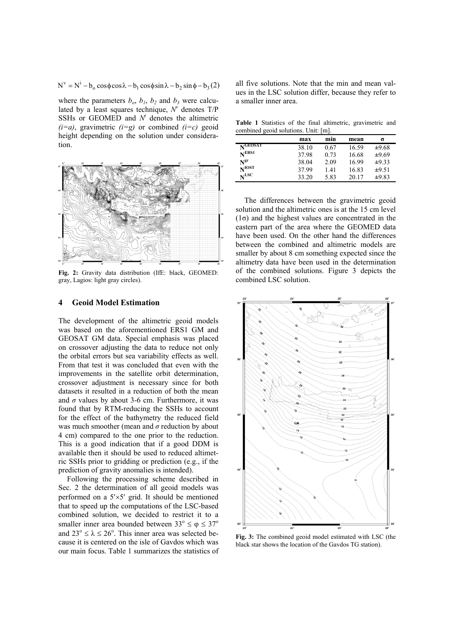$N^{v} = N^{i} - b_{o} \cos \phi \cos \lambda - b_{1} \cos \phi \sin \lambda - b_{2} \sin \phi - b_{3} (2)$ 

where the parameters  $b_0$ ,  $b_1$ ,  $b_2$  and  $b_3$  were calculated by a least squares technique,  $N^{\nu}$  denotes  $T/P$ SSHs or GEOMED and  $N<sup>i</sup>$  denotes the altimetric  $(i=a)$ , gravimetric  $(i=g)$  or combined  $(i=c)$  geoid height depending on the solution under consideration.



**Fig. 2:** Gravity data distribution (IfE: black, GEOMED: gray, Lagios: light gray circles).

## **4 Geoid Model Estimation**

The development of the altimetric geoid models was based on the aforementioned ERS1 GM and GEOSAT GM data. Special emphasis was placed on crossover adjusting the data to reduce not only the orbital errors but sea variability effects as well. From that test it was concluded that even with the improvements in the satellite orbit determination, crossover adjustment is necessary since for both datasets it resulted in a reduction of both the mean and  $\sigma$  values by about 3-6 cm. Furthermore, it was found that by RTM-reducing the SSHs to account for the effect of the bathymetry the reduced field was much smoother (mean and *σ* reduction by about 4 cm) compared to the one prior to the reduction. This is a good indication that if a good DDM is available then it should be used to reduced altimetric SSHs prior to gridding or prediction (e.g., if the prediction of gravity anomalies is intended).

Following the processing scheme described in Sec. 2 the determination of all geoid models was performed on a 5′×5′ grid. It should be mentioned that to speed up the computations of the LSC-based combined solution, we decided to restrict it to a smaller inner area bounded between  $33^{\circ} \le \varphi \le 37^{\circ}$ and  $23^{\circ} \le \lambda \le 26^{\circ}$ . This inner area was selected because it is centered on the isle of Gavdos which was our main focus. Table 1 summarizes the statistics of

all five solutions. Note that the min and mean values in the LSC solution differ, because they refer to a smaller inner area.

**Table 1** Statistics of the final altimetric, gravimetric and combined geoid solutions. Unit: [m].

|                   | max   | min  | mean  | σ     |
|-------------------|-------|------|-------|-------|
| $N$ GEOSAT        | 38.10 | 0.67 | 16.59 | ±9.68 |
| N <sup>ERS1</sup> | 37.98 | 0.73 | 16.68 | ±9.69 |
| N <sup>gr</sup>   | 38.04 | 2.09 | 16.99 | ±9.33 |
| $N^{IOST}$        | 37.99 | 1.41 | 16.83 | ±9.51 |
| $N^{\rm LSC}$     | 33.20 | 5.83 | 20.17 | ±9.83 |

The differences between the gravimetric geoid solution and the altimetric ones is at the 15 cm level  $(1\sigma)$  and the highest values are concentrated in the eastern part of the area where the GEOMED data have been used. On the other hand the differences between the combined and altimetric models are smaller by about 8 cm something expected since the altimetry data have been used in the determination of the combined solutions. Figure 3 depicts the combined LSC solution.



**Fig. 3:** The combined geoid model estimated with LSC (the black star shows the location of the Gavdos TG station).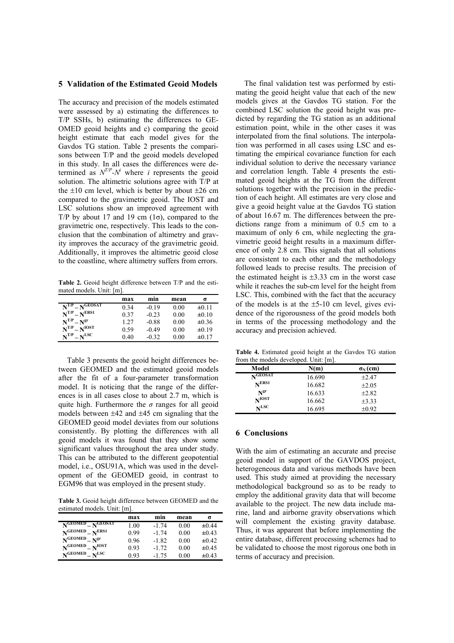### **5 Validation of the Estimated Geoid Models**

The accuracy and precision of the models estimated were assessed by a) estimating the differences to T/P SSHs, b) estimating the differences to GE-OMED geoid heights and c) comparing the geoid height estimate that each model gives for the Gavdos TG station. Table 2 presents the comparisons between T/P and the geoid models developed in this study. In all cases the differences were determined as  $N^{T/P} - N^i$  where *i* represents the geoid solution. The altimetric solutions agree with T/P at the  $\pm 10$  cm level, which is better by about  $\pm 26$  cm compared to the gravimetric geoid. The IOST and LSC solutions show an improved agreement with T/P by about 17 and 19 cm  $(1\sigma)$ , compared to the gravimetric one, respectively. This leads to the conclusion that the combination of altimetry and gravity improves the accuracy of the gravimetric geoid. Additionally, it improves the altimetric geoid close to the coastline, where altimetry suffers from errors.

**Table 2.** Geoid height difference between T/P and the estimated models. Unit: [m].

|                                                | max  | min     | mean | σ          |
|------------------------------------------------|------|---------|------|------------|
| $N^{T/P} - N^{GEOSAT}$                         | 0.34 | $-0.19$ | 0.00 | ±0.11      |
| $N^{T/P} - N^{ERS1}$                           | 0.37 | $-0.23$ | 0.00 | $\pm 0.10$ |
| $N^{T/P} - N^{gr}$                             | 1.27 | $-0.88$ | 0.00 | $\pm 0.36$ |
| $N^{T/P} - N^{IOST}$                           | 0.59 | $-0.49$ | 0.00 | ±0.19      |
| $\mathbf{N}^{\text{T/P}}$<br>$v = N^{\rm LSC}$ | 0.40 | $-0.32$ | 0.00 | $\pm 0.17$ |

Table 3 presents the geoid height differences between GEOMED and the estimated geoid models after the fit of a four-parameter transformation model. It is noticing that the range of the differences is in all cases close to about 2.7 m, which is quite high. Furthermore the *σ* ranges for all geoid models between  $\pm 42$  and  $\pm 45$  cm signaling that the GEOMED geoid model deviates from our solutions consistently. By plotting the differences with all geoid models it was found that they show some significant values throughout the area under study. This can be attributed to the different geopotential model, i.e., OSU91A, which was used in the development of the GEOMED geoid, in contrast to EGM96 that was employed in the present study.

**Table 3.** Geoid height difference between GEOMED and the estimated models. Unit: [m].

|                         | max  | min     | mean | σ          |
|-------------------------|------|---------|------|------------|
| $N$ GEOMED $N$ GEOSAT   | 1.00 | $-1.74$ | 0.00 | ±0.44      |
| $N^{GEOMED} - N^{ERS1}$ | 0.99 | $-1.74$ | 0.00 | $\pm 0.43$ |
| $N^{GEOMED}-N^{gr}$     | 0.96 | $-1.82$ | 0.00 | $\pm 0.42$ |
| $N^{GEOMED} - N^{IOST}$ | 0.93 | $-1.72$ | 0.00 | $\pm 0.45$ |
| $N$ GEOMED $N$ LSC      | 0.93 | $-1.75$ | 0.00 | $\pm 0.43$ |

The final validation test was performed by estimating the geoid height value that each of the new models gives at the Gavdos TG station. For the combined LSC solution the geoid height was predicted by regarding the TG station as an additional estimation point, while in the other cases it was interpolated from the final solutions. The interpolation was performed in all cases using LSC and estimating the empirical covariance function for each individual solution to derive the necessary variance and correlation length. Table 4 presents the estimated geoid heights at the TG from the different solutions together with the precision in the prediction of each height. All estimates are very close and give a geoid height value at the Gavdos TG station of about 16.67 m. The differences between the predictions range from a minimum of 0.5 cm to a maximum of only 6 cm, while neglecting the gravimetric geoid height results in a maximum difference of only 2.8 cm. This signals that all solutions are consistent to each other and the methodology followed leads to precise results. The precision of the estimated height is  $\pm 3.33$  cm in the worst case while it reaches the sub-cm level for the height from LSC. This, combined with the fact that the accuracy of the models is at the  $\pm$ 5-10 cm level, gives evidence of the rigorousness of the geoid models both in terms of the processing methodology and the accuracy and precision achieved.

**Table 4.** Estimated geoid height at the Gavdos TG station from the models developed. Unit: [m].

| $10011$ the models developed. Only, $101$ .<br>Model | N(m)   | $\sigma_{\rm N}$ (cm) |
|------------------------------------------------------|--------|-----------------------|
| $N$ GEOSAT                                           |        |                       |
|                                                      | 16.690 | $\pm 2.47$            |
| N <sup>ERS1</sup>                                    | 16.682 | $+2.05$               |
| $N^{\rm gr}$                                         | 16.633 | $+2.82$               |
| $N^{IOST}$                                           | 16.662 | $\pm 3.33$            |
| $\mathbf{N}^{\text{LSC}}$                            | 16.695 | $\pm 0.92$            |

## **6 Conclusions**

With the aim of estimating an accurate and precise geoid model in support of the GAVDOS project, heterogeneous data and various methods have been used. This study aimed at providing the necessary methodological background so as to be ready to employ the additional gravity data that will become available to the project. The new data include marine, land and airborne gravity observations which will complement the existing gravity database. Thus, it was apparent that before implementing the entire database, different processing schemes had to be validated to choose the most rigorous one both in terms of accuracy and precision.